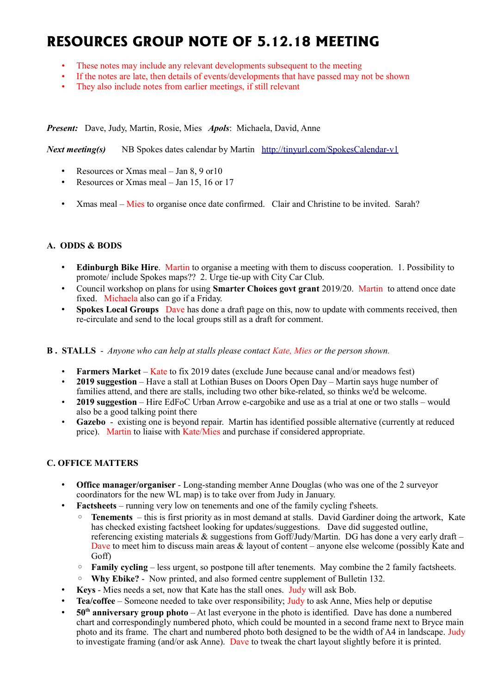# **RESOURCES GROUP NOTE OF 5.12.18 MEETING**

- These notes may include any relevant developments subsequent to the meeting
- If the notes are late, then details of events/developments that have passed may not be shown
- They also include notes from earlier meetings, if still relevant

*Present:* Dave, Judy, Martin, Rosie, Mies *Apols*: Michaela, David, Anne

*Next meeting(s)*NB Spokes dates calendar by Martin <http://tinyurl.com/SpokesCalendar-v1>

- Resources or Xmas meal Jan 8, 9 or10
- Resources or Xmas meal Jan 15, 16 or 17
- Xmas meal Mies to organise once date confirmed. Clair and Christine to be invited. Sarah?

## **A. ODDS & BODS**

- **Edinburgh Bike Hire**. Martin to organise a meeting with them to discuss cooperation. 1. Possibility to promote/ include Spokes maps?? 2. Urge tie-up with City Car Club.
- Council workshop on plans for using **Smarter Choices govt grant** 2019/20. Martin to attend once date fixed. Michaela also can go if a Friday.
- **Spokes Local Groups** Dave has done a draft page on this, now to update with comments received, then re-circulate and send to the local groups still as a draft for comment.
- **B . STALLS** *Anyone who can help at stalls please contact Kate, Mies or the person shown.*
	- **Farmers Market** Kate to fix 2019 dates (exclude June because canal and/or meadows fest)
	- **2019 suggestion** Have a stall at Lothian Buses on Doors Open Day Martin says huge number of families attend, and there are stalls, including two other bike-related, so thinks we'd be welcome.
	- **2019 suggestion** Hire EdFoC Urban Arrow e-cargobike and use as a trial at one or two stalls would also be a good talking point there
	- **Gazebo** existing one is beyond repair. Martin has identified possible alternative (currently at reduced price). Martin to liaise with Kate/Mies and purchase if considered appropriate.

## **C. OFFICE MATTERS**

- **Office manager/organiser** Long-standing member Anne Douglas (who was one of the 2 surveyor coordinators for the new WL map) is to take over from Judy in January.
- **Factsheets** running very low on tenements and one of the family cycling f'sheets.
	- **Tenements**  this is first priority as in most demand at stalls. David Gardiner doing the artwork, Kate has checked existing factsheet looking for updates/suggestions. Dave did suggested outline, referencing existing materials & suggestions from Goff/Judy/Martin. DG has done a very early draft – Dave to meet him to discuss main areas & layout of content – anyone else welcome (possibly Kate and Goff)
	- **Family cycling** less urgent, so postpone till after tenements. May combine the 2 family factsheets.
	- **Why Ebike?** Now printed, and also formed centre supplement of Bulletin 132.
- **Keys** Mies needs a set, now that Kate has the stall ones. Judy will ask Bob.
- **Tea/coffee** Someone needed to take over responsibility; Judy to ask Anne, Mies help or deputise
- **50th anniversary group photo** At last everyone in the photo is identified. Dave has done a numbered chart and correspondingly numbered photo, which could be mounted in a second frame next to Bryce main photo and its frame. The chart and numbered photo both designed to be the width of A4 in landscape. Judy to investigate framing (and/or ask Anne). Dave to tweak the chart layout slightly before it is printed.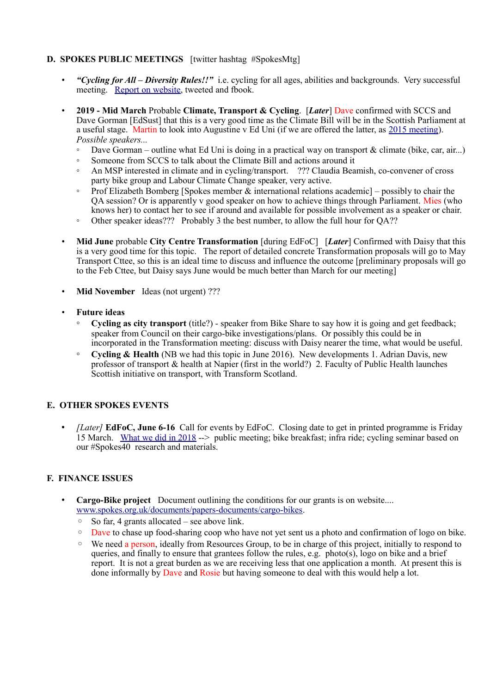## **D. SPOKES PUBLIC MEETINGS** [twitter hashtag #SpokesMtg]

- *"Cycling for All Diversity Rules!!"* i.e. cycling for all ages, abilities and backgrounds. Very successful meeting. [Report on website,](http://www.spokes.org.uk/2018/11/spokesmtg-diversity-opportunity/) tweeted and fbook.
- **2019 Mid March** Probable **Climate, Transport & Cycling**. [*Later*] Dave confirmed with SCCS and Dave Gorman [EdSust] that this is a very good time as the Climate Bill will be in the Scottish Parliament at a useful stage. Martin to look into Augustine v Ed Uni (if we are offered the latter, as [2015 meeting\)](http://www.spokes.org.uk/2015/11/public-mtg-calls-for-fairer-funding/). *Possible speakers...*
	- Dave Gorman outline what Ed Uni is doing in a practical way on transport & climate (bike, car, air...)
	- Someone from SCCS to talk about the Climate Bill and actions around it
	- An MSP interested in climate and in cycling/transport. ??? Claudia Beamish, co-convener of cross party bike group and Labour Climate Change speaker, very active.
	- Prof Elizabeth Bomberg [Spokes member  $\&$  international relations academic] possibly to chair the QA session? Or is apparently v good speaker on how to achieve things through Parliament. Mies (who knows her) to contact her to see if around and available for possible involvement as a speaker or chair.
	- Other speaker ideas??? Probably 3 the best number, to allow the full hour for QA??
- **Mid June** probable **City Centre Transformation** [during EdFoC] [*Later*] Confirmed with Daisy that this is a very good time for this topic. The report of detailed concrete Transformation proposals will go to May Transport Cttee, so this is an ideal time to discuss and influence the outcome [preliminary proposals will go to the Feb Cttee, but Daisy says June would be much better than March for our meeting]
- **Mid November** Ideas (not urgent) ???
- **Future ideas**
	- **Cycling as city transport** (title?) speaker from Bike Share to say how it is going and get feedback; speaker from Council on their cargo-bike investigations/plans. Or possibly this could be in incorporated in the Transformation meeting: discuss with Daisy nearer the time, what would be useful.
	- **Cycling & Health** (NB we had this topic in June 2016). New developments 1. Adrian Davis, new professor of transport & health at Napier (first in the world?) 2. Faculty of Public Health launches Scottish initiative on transport, with Transform Scotland.

## **E. OTHER SPOKES EVENTS**

• *[Later]* **EdFoC, June 6-16** Call for events by EdFoC. Closing date to get in printed programme is Friday 15 March. [What we did in 2018](http://www.spokes.org.uk/2018/06/city-centre-transformation-and-edfoc/) --> public meeting; bike breakfast; infra ride; cycling seminar based on our #Spokes40 research and materials.

## **F. FINANCE ISSUES**

- **Cargo-Bike project** Document outlining the conditions for our grants is on website.... [www.spokes.org.uk/documents/papers-documents/cargo-bikes.](http://www.spokes.org.uk/documents/papers-documents/cargo-bikes)
	- So far, 4 grants allocated see above link.
	- Dave to chase up food-sharing coop who have not yet sent us a photo and confirmation of logo on bike.
	- We need a person, ideally from Resources Group, to be in charge of this project, initially to respond to queries, and finally to ensure that grantees follow the rules, e.g. photo(s), logo on bike and a brief report. It is not a great burden as we are receiving less that one application a month. At present this is done informally by Dave and Rosie but having someone to deal with this would help a lot.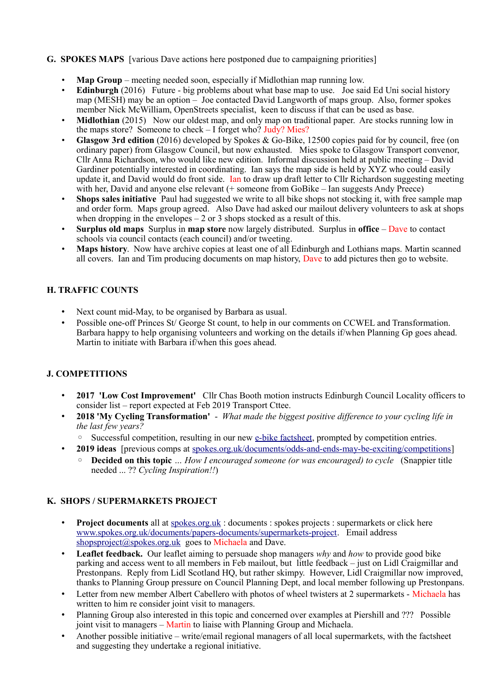## **G. SPOKES MAPS** [various Dave actions here postponed due to campaigning priorities]

- **Map Group** meeting needed soon, especially if Midlothian map running low.
- **Edinburgh** (2016) Future big problems about what base map to use. Joe said Ed Uni social history map (MESH) may be an option – Joe contacted David Langworth of maps group. Also, former spokes member Nick McWilliam, OpenStreets specialist, keen to discuss if that can be used as base.
- **Midlothian** (2015) Now our oldest map, and only map on traditional paper. Are stocks running low in the maps store? Someone to check – I forget who? Judy? Mies?
- **Glasgow 3rd edition** (2016) developed by Spokes & Go-Bike, 12500 copies paid for by council, free (on ordinary paper) from Glasgow Council, but now exhausted. Mies spoke to Glasgow Transport convenor, Cllr Anna Richardson, who would like new edition. Informal discussion held at public meeting  $-$  David Gardiner potentially interested in coordinating. Ian says the map side is held by XYZ who could easily update it, and David would do front side. Ian to draw up draft letter to Cllr Richardson suggesting meeting with her, David and anyone else relevant (+ someone from GoBike – Ian suggests Andy Preece)
- **Shops sales initiative** Paul had suggested we write to all bike shops not stocking it, with free sample map and order form. Maps group agreed. Also Dave had asked our mailout delivery volunteers to ask at shops when dropping in the envelopes  $-2$  or 3 shops stocked as a result of this.
- **Surplus old maps** Surplus in **map store** now largely distributed. Surplus in **office** Dave to contact schools via council contacts (each council) and/or tweeting.
- **Maps history**. Now have archive copies at least one of all Edinburgh and Lothians maps. Martin scanned all covers. Ian and Tim producing documents on map history, Dave to add pictures then go to website.

## **H. TRAFFIC COUNTS**

- Next count mid-May, to be organised by Barbara as usual.
- Possible one-off Princes St/ George St count, to help in our comments on CCWEL and Transformation. Barbara happy to help organising volunteers and working on the details if/when Planning Gp goes ahead. Martin to initiate with Barbara if/when this goes ahead.

## **J. COMPETITIONS**

- **2017 'Low Cost Improvement'** Cllr Chas Booth motion instructs Edinburgh Council Locality officers to consider list – report expected at Feb 2019 Transport Cttee.
- **2018 'My Cycling Transformation'**  *What made the biggest positive difference to your cycling life in the last few years?*
	- Successful competition, resulting in our new [e-bike factsheet,](http://www.spokes.org.uk/wp-content/uploads/2018/10/Fsht-ebike-pall.pdf) prompted by competition entries.
- **2019 ideas** [previous comps at [spokes.org.uk/documents/odds-and-ends-may-be-exciting/competitions\]](http://www.spokes.org.uk/documents/odds-and-ends-may-be-exciting/competitions/) ◦ **Decided on this topic** *… How I encouraged someone (or was encouraged) to cycle* (Snappier title needed ... ?? *Cycling Inspiration!!*)

## **K. SHOPS / SUPERMARKETS PROJECT**

- **Project documents** all at spokes.org.uk: documents : spokes projects : supermarkets or click here [www.spokes.org.uk/documents/papers-documents/supermarkets-project.](http://www.spokes.org.uk/documents/papers-documents/supermarkets-project) Email address [shopsproject@spokes.org.uk](mailto:shopsproject@spokes.org.uk) goes to Michaela and Dave.
- **Leaflet feedback.** Our leaflet aiming to persuade shop managers *why* and *how* to provide good bike parking and access went to all members in Feb mailout, but little feedback – just on Lidl Craigmillar and Prestonpans. Reply from Lidl Scotland HQ, but rather skimpy. However, Lidl Craigmillar now improved, thanks to Planning Group pressure on Council Planning Dept, and local member following up Prestonpans.
- Letter from new member Albert Cabellero with photos of wheel twisters at 2 supermarkets Michaela has written to him re consider joint visit to managers.
- Planning Group also interested in this topic and concerned over examples at Piershill and ??? Possible joint visit to managers – Martin to liaise with Planning Group and Michaela.
- Another possible initiative write/email regional managers of all local supermarkets, with the factsheet and suggesting they undertake a regional initiative.